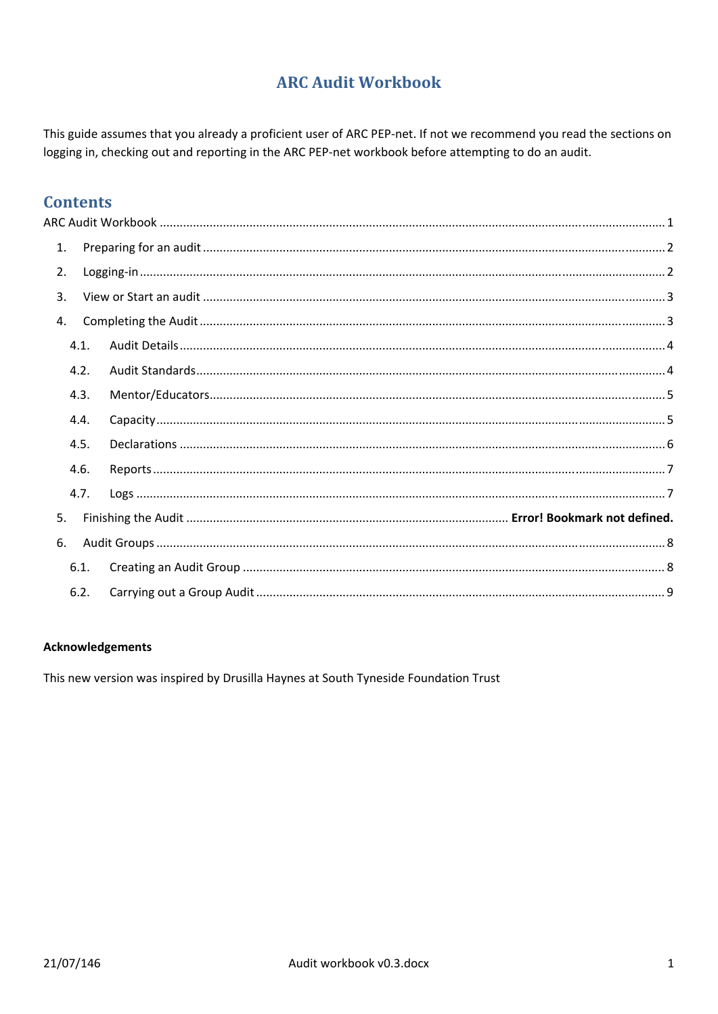# **ARC Audit Workbook**

This guide assumes that you already a proficient user of ARC PEP-net. If not we recommend you read the sections on logging in, checking out and reporting in the ARC PEP-net workbook before attempting to do an audit.

# **Contents**

| $\mathbf{1}$ . |  |  |
|----------------|--|--|
| 2.             |  |  |
| 3.             |  |  |
| 4.             |  |  |
| 4.1.           |  |  |
| 4.2.           |  |  |
| 4.3.           |  |  |
| 4.4.           |  |  |
| 4.5.           |  |  |
| 4.6.           |  |  |
| 4.7.           |  |  |
| 5.             |  |  |
| 6.             |  |  |
| 6.1.           |  |  |
| 6.2.           |  |  |

### **Acknowledgements**

This new version was inspired by Drusilla Haynes at South Tyneside Foundation Trust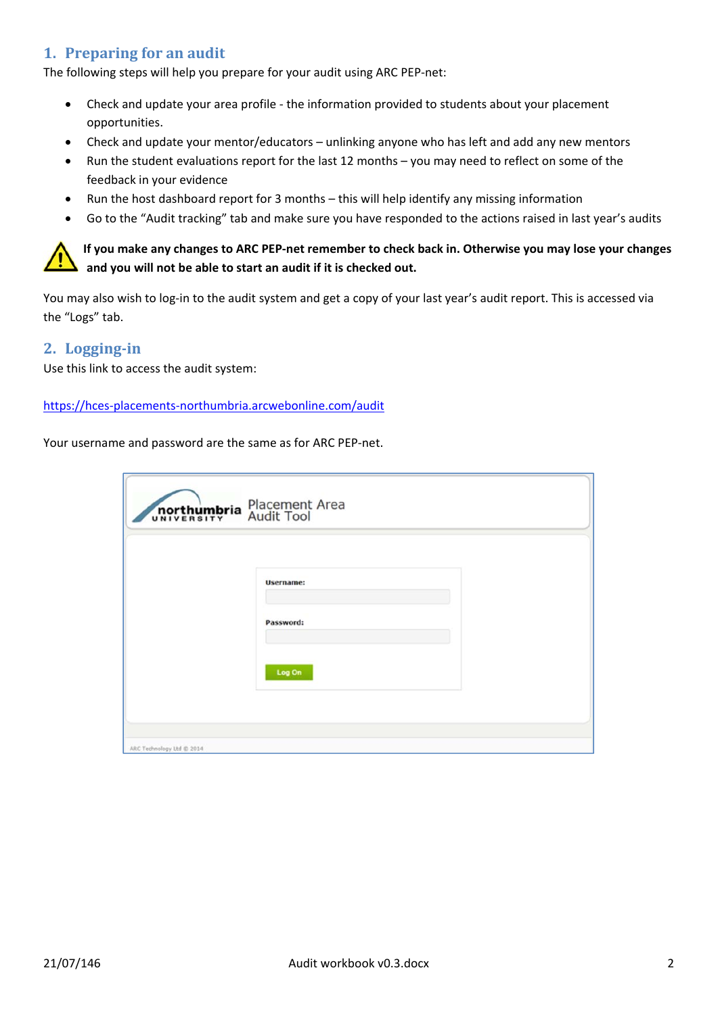# **1. Preparing for an audit**

The following steps will help you prepare for your audit using ARC PEP‐net:

- Check and update your area profile ‐ the information provided to students about your placement opportunities.
- Check and update your mentor/educators unlinking anyone who has left and add any new mentors
- Run the student evaluations report for the last 12 months you may need to reflect on some of the feedback in your evidence
- Run the host dashboard report for 3 months this will help identify any missing information
- Go to the "Audit tracking" tab and make sure you have responded to the actions raised in last year's audits

If you make any changes to ARC PEP-net remember to check back in. Otherwise you may lose your changes **and you will not be able to start an audit if it is checked out.** 

You may also wish to log-in to the audit system and get a copy of your last year's audit report. This is accessed via the "Logs" tab.

### **2. Logging‐in**

Use this link to access the audit system:

#### https://hces‐placements‐northumbria.arcwebonline.com/audit

Your username and password are the same as for ARC PEP‐net.

|                           | northumbria Placement Area |  |
|---------------------------|----------------------------|--|
|                           | <b>Username:</b>           |  |
|                           | Password:                  |  |
|                           | Log On                     |  |
| ARC Technology Ltd @ 2014 |                            |  |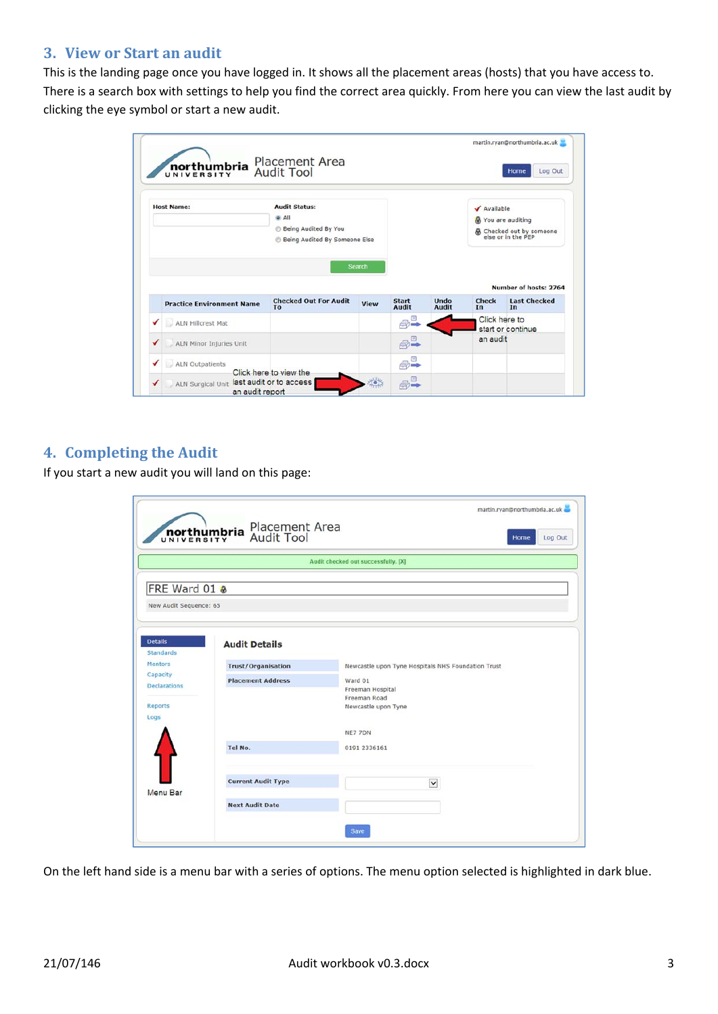### **3. View or Start an audit**

This is the landing page once you have logged in. It shows all the placement areas (hosts) that you have access to. There is a search box with settings to help you find the correct area quickly. From here you can view the last audit by clicking the eye symbol or start a new audit.

|                   | northumbria<br>UNIVERSITY            | <b>Placement Area</b><br><b>Audit Tool</b>                                                    |                |                        |              |                     | martin.ryan@northumbria.ac.uk<br>Log Out<br>Home                            |
|-------------------|--------------------------------------|-----------------------------------------------------------------------------------------------|----------------|------------------------|--------------|---------------------|-----------------------------------------------------------------------------|
| <b>Host Name:</b> |                                      | <b>Audit Status:</b><br>O All<br><b>Being Audited By You</b><br>Being Audited By Someone Else |                |                        |              | ✔ Available         | & You are auditing<br><b>A</b> Checked out by someone<br>else or in the PEP |
|                   | <b>Practice Environment Name</b>     | <b>Checked Out For Audit</b>                                                                  | Search<br>View | <b>Start</b>           | <b>Undo</b>  | <b>Check</b>        | <b>Number of hosts: 2764</b><br><b>Last Checked</b>                         |
|                   |                                      | To                                                                                            |                | <b>Audit</b><br>Ξ      | <b>Audit</b> | In<br>Click here to | In                                                                          |
| ✔                 | ALN Hillcrest Mat                    |                                                                                               |                | $\leftrightarrow$      |              |                     | start or continue                                                           |
| ✔                 | ALN Minor Injuries Unit              |                                                                                               |                | $\bigoplus^{\boxplus}$ |              | an audit            |                                                                             |
| ✔                 | ALN Outpatients                      | Click here to view the                                                                        |                | $\bigoplus^{\boxplus}$ |              |                     |                                                                             |
| ✔                 | ALN Surgical Unit<br>an audit report | last audit or to access                                                                       | 養              | $\oplus$               |              |                     |                                                                             |

# **4. Completing the Audit**

If you start a new audit you will land on this page:

|                                                    | Placement Area<br>Audit Tool<br><b>northumbria</b> | martin.ryan@northumbria.ac.uk<br>Log Out<br>Home                   |
|----------------------------------------------------|----------------------------------------------------|--------------------------------------------------------------------|
|                                                    |                                                    | Audit checked out successfully. [X]                                |
| FRE Ward 01 &                                      |                                                    |                                                                    |
| New Audit Sequence: 65                             |                                                    |                                                                    |
| <b>Details</b><br><b>Standards</b>                 | <b>Audit Details</b>                               |                                                                    |
| Mentors                                            | <b>Trust/Organisation</b>                          | Newcastle upon Tyne Hospitals NHS Foundation Trust                 |
| Capacity<br><b>Declarations</b><br>Reports<br>Logs | <b>Placement Address</b>                           | Ward 01<br>Freeman Hospital<br>Freeman Road<br>Newcastle upon Tyne |
|                                                    |                                                    | NE7 7DN                                                            |
|                                                    | Tel No.                                            | 0191 2336161                                                       |
|                                                    | <b>Current Audit Type</b>                          | $\check{~}$                                                        |
| Menu Bar                                           | <b>Next Audit Date</b>                             |                                                                    |
|                                                    |                                                    | Save                                                               |

On the left hand side is a menu bar with a series of options. The menu option selected is highlighted in dark blue.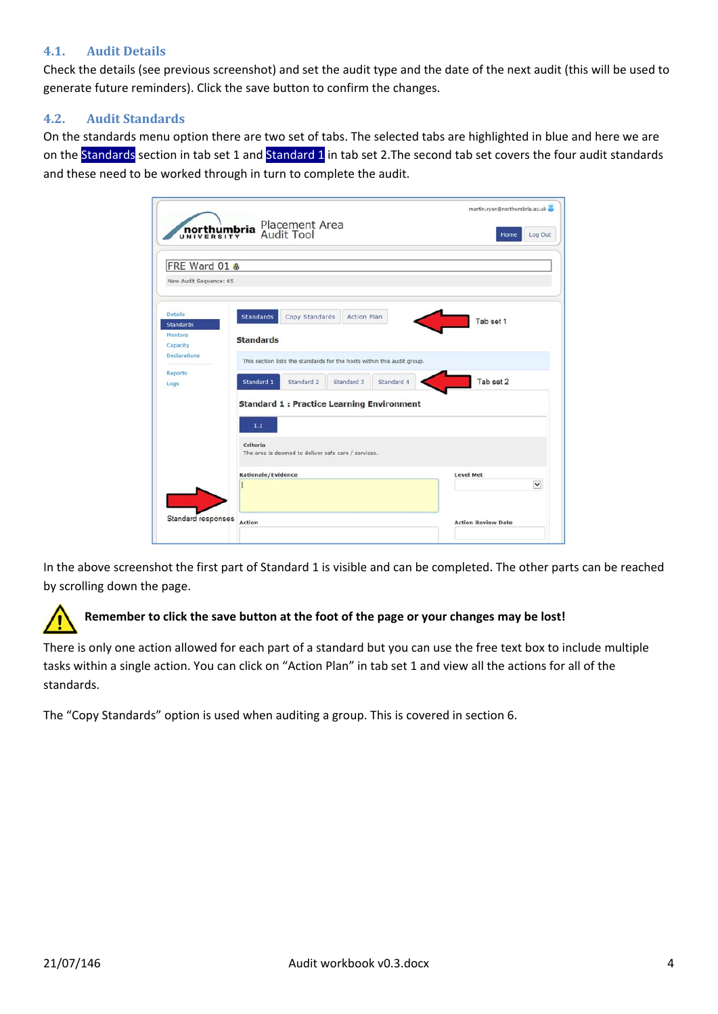### **4.1. Audit Details**

Check the details (see previous screenshot) and set the audit type and the date of the next audit (this will be used to generate future reminders). Click the save button to confirm the changes.

### **4.2. Audit Standards**

On the standards menu option there are two set of tabs. The selected tabs are highlighted in blue and here we are on the Standards section in tab set 1 and Standard 1 in tab set 2. The second tab set covers the four audit standards and these need to be worked through in turn to complete the audit.

| <b>northumbria</b>                                                        | Placement Area<br>Audit Tool                                                                                                                                                        | martin.ryan@northumbria.ac.uk<br>Log Out<br>Home |
|---------------------------------------------------------------------------|-------------------------------------------------------------------------------------------------------------------------------------------------------------------------------------|--------------------------------------------------|
| FRE Ward 01 &<br>New Audit Sequence: 65                                   |                                                                                                                                                                                     |                                                  |
| <b>Details</b><br><b>Standards</b><br>Mentors<br>Capacity<br>Declarations | Copy Standards<br><b>Standards</b><br><b>Action Plan</b><br><b>Standards</b>                                                                                                        | Tab set 1                                        |
| Reports<br>Logs                                                           | This section lists the standards for the hosts within this audit group.<br>Standard 2<br>Standard 4<br>Standard 1<br>Standard 3<br><b>Standard 1: Practice Learning Environment</b> | Tab set 2                                        |
|                                                                           | 1.1<br>Criteria<br>The area is deemed to deliver safe care / services.                                                                                                              |                                                  |
|                                                                           | <b>Rationale/Evidence</b>                                                                                                                                                           | <b>Level Met</b>                                 |
|                                                                           |                                                                                                                                                                                     | $\checkmark$                                     |
| Standard responses                                                        | Action                                                                                                                                                                              | <b>Action Review Date</b>                        |

In the above screenshot the first part of Standard 1 is visible and can be completed. The other parts can be reached by scrolling down the page.

### **Remember to click the save button at the foot of the page or your changes may be lost!**

There is only one action allowed for each part of a standard but you can use the free text box to include multiple tasks within a single action. You can click on "Action Plan" in tab set 1 and view all the actions for all of the standards.

The "Copy Standards" option is used when auditing a group. This is covered in section 6.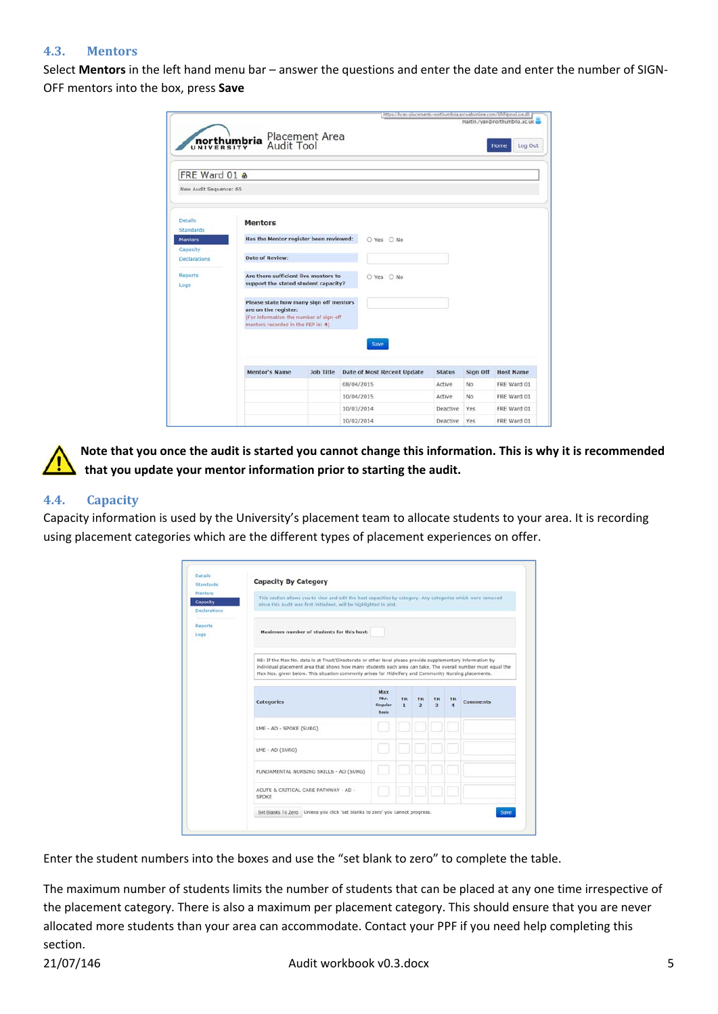### **4.3. Mentors**

Select **Mentors** in the left hand menu bar – answer the questions and enter the date and enter the number of SIGN‐ OFF mentors into the box, press **Save**

|                                         |                                                                                                                                                 |                              | https://hces-placements-northumbria.arcwebonline.com/UNNpowLive.dll |               |          | martin.ryan@northumbria.ac.uk |
|-----------------------------------------|-------------------------------------------------------------------------------------------------------------------------------------------------|------------------------------|---------------------------------------------------------------------|---------------|----------|-------------------------------|
|                                         | <b>northumbria</b>                                                                                                                              | Placement Area<br>Audit Tool |                                                                     |               |          | Log Out<br>Home               |
| FRE Ward 01 &<br>New Audit Sequence: 65 |                                                                                                                                                 |                              |                                                                     |               |          |                               |
| <b>Details</b><br><b>Standards</b>      | <b>Mentors</b>                                                                                                                                  |                              |                                                                     |               |          |                               |
| <b>Mentors</b><br>Capacity              | Has the Mentor register been reviewed:                                                                                                          |                              | ○ Yes ○ No                                                          |               |          |                               |
| <b>Declarations</b>                     | <b>Date of Review:</b>                                                                                                                          |                              |                                                                     |               |          |                               |
| Reports<br>Logs                         | Are there sufficient live mentors to<br>support the stated student capacity?                                                                    |                              | O Yes O No                                                          |               |          |                               |
|                                         | Please state how many sign off mentors<br>are on the register:<br>(For information the number of sign-off<br>mentors recorded in the PEP is: 4) |                              |                                                                     |               |          |                               |
|                                         | <b>Mentor's Name</b>                                                                                                                            | <b>Job Title</b>             | <b>Save</b><br><b>Date of Most Recent Update</b>                    | <b>Status</b> | Sign Off | <b>Host Name</b>              |
|                                         |                                                                                                                                                 |                              | 08/04/2015                                                          | Active        | No       | FRE Ward 01                   |
|                                         |                                                                                                                                                 |                              | 10/04/2015                                                          | Active        | No       | FRE Ward 01                   |
|                                         |                                                                                                                                                 |                              | 10/03/2014                                                          | Deactive      | Yes      | FRE Ward 01                   |
|                                         |                                                                                                                                                 |                              | 10/02/2014                                                          | Deactive      | Yes      | FRE Ward 01                   |

Note that you once the audit is started you cannot change this information. This is why it is recommended **that you update your mentor information prior to starting the audit.**

### **4.4. Capacity**

Capacity information is used by the University's placement team to allocate students to your area. It is recording using placement categories which are the different types of placement experiences on offer.

| Mentors<br>Capacity<br><b>Declarations</b> | This section allows you to view and edit the host capacities by category. Any categories which were removed<br>since this Audit was first initialised, will be highlighted in pink.                                                                                                                                                |                                |                    |                               |                     |          |                 |
|--------------------------------------------|------------------------------------------------------------------------------------------------------------------------------------------------------------------------------------------------------------------------------------------------------------------------------------------------------------------------------------|--------------------------------|--------------------|-------------------------------|---------------------|----------|-----------------|
| Reports<br>Logs                            | Maximum number of students for this host:                                                                                                                                                                                                                                                                                          |                                |                    |                               |                     |          |                 |
|                                            | NB: If the Max No. data is at Trust/Directorate or other level please provide supplementary information by<br>individual placement area that shows how many students each area can take. The overall number must equal the<br>Max Nos. given below. This situation commonly arises for Midwifery and Community Nursing placements. |                                |                    |                               |                     |          |                 |
|                                            |                                                                                                                                                                                                                                                                                                                                    | Max                            |                    |                               |                     |          |                 |
|                                            | Categories                                                                                                                                                                                                                                                                                                                         | No.<br>Regular<br><b>Basis</b> | YR<br>$\mathbf{1}$ | YR<br>$\overline{\mathbf{z}}$ | YR.<br>$\mathbf{3}$ | YR.<br>4 | <b>Comments</b> |
|                                            | LME - AD - SPOKE (SURG)                                                                                                                                                                                                                                                                                                            |                                |                    |                               |                     |          |                 |
|                                            | LME - AD (SURG)                                                                                                                                                                                                                                                                                                                    |                                |                    |                               |                     |          |                 |
|                                            | FUNDAMENTAL NURSING SKILLS - AD (SURG)                                                                                                                                                                                                                                                                                             |                                |                    |                               |                     |          |                 |

Enter the student numbers into the boxes and use the "set blank to zero" to complete the table.

The maximum number of students limits the number of students that can be placed at any one time irrespective of the placement category. There is also a maximum per placement category. This should ensure that you are never allocated more students than your area can accommodate. Contact your PPF if you need help completing this section.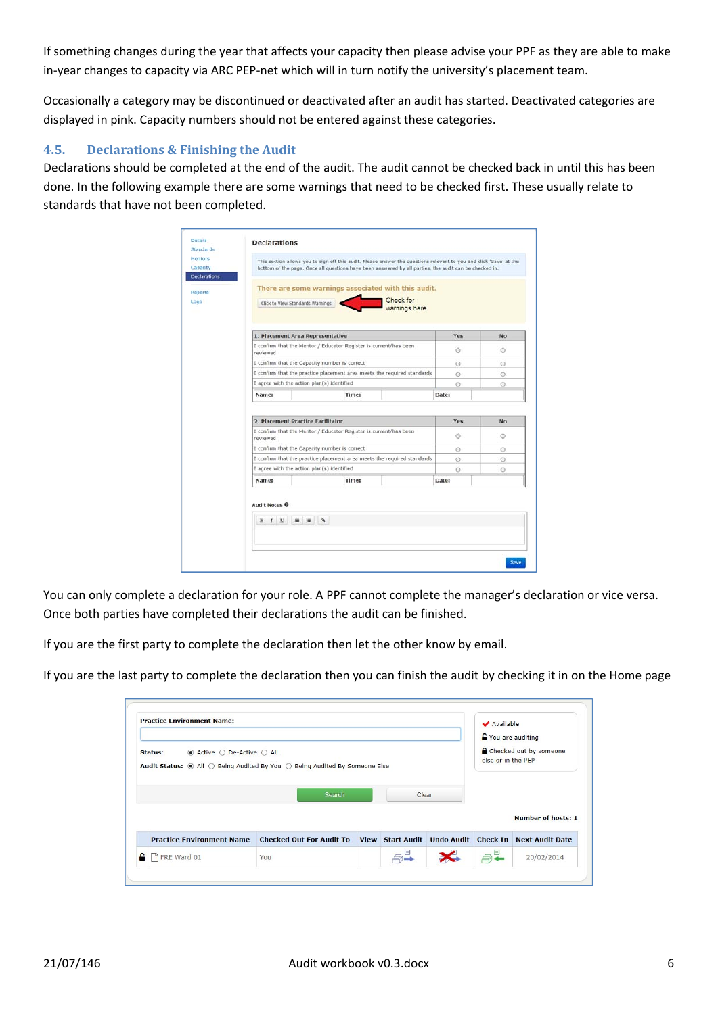If something changes during the year that affects your capacity then please advise your PPF as they are able to make in-year changes to capacity via ARC PEP-net which will in turn notify the university's placement team.

Occasionally a category may be discontinued or deactivated after an audit has started. Deactivated categories are displayed in pink. Capacity numbers should not be entered against these categories.

### **4.5. Declarations & Finishing the Audit**

Declarations should be completed at the end of the audit. The audit cannot be checked back in until this has been done. In the following example there are some warnings that need to be checked first. These usually relate to standards that have not been completed.

| Click to View Standards Warnings<br>1. Placement Area Representative<br>reviewed | There are some warnings associated with this audit.<br>I confirm that the Mentor / Educator Register is current/has been<br>I confirm that the Capacity number is correct | Check for<br>warnings here                                                                                                       | Yes                                                               | No                                                                      |
|----------------------------------------------------------------------------------|---------------------------------------------------------------------------------------------------------------------------------------------------------------------------|----------------------------------------------------------------------------------------------------------------------------------|-------------------------------------------------------------------|-------------------------------------------------------------------------|
|                                                                                  |                                                                                                                                                                           |                                                                                                                                  |                                                                   |                                                                         |
|                                                                                  |                                                                                                                                                                           |                                                                                                                                  |                                                                   |                                                                         |
|                                                                                  |                                                                                                                                                                           |                                                                                                                                  | $\circ$                                                           | $\circ$                                                                 |
|                                                                                  |                                                                                                                                                                           |                                                                                                                                  | Ō                                                                 | o                                                                       |
|                                                                                  | I confirm that the practice placement area meets the required standards                                                                                                   |                                                                                                                                  | Ō                                                                 | Ö                                                                       |
| I agree with the action plan(s) identified                                       |                                                                                                                                                                           |                                                                                                                                  | Θ                                                                 | O                                                                       |
| Name:                                                                            | Time:                                                                                                                                                                     |                                                                                                                                  | Date:                                                             |                                                                         |
|                                                                                  |                                                                                                                                                                           |                                                                                                                                  | Yes                                                               | No                                                                      |
| reviewed                                                                         |                                                                                                                                                                           |                                                                                                                                  | $\circ$                                                           | $\circ$                                                                 |
|                                                                                  |                                                                                                                                                                           |                                                                                                                                  | O                                                                 | $\circ$                                                                 |
|                                                                                  |                                                                                                                                                                           |                                                                                                                                  | Ō                                                                 | $\odot$                                                                 |
|                                                                                  |                                                                                                                                                                           |                                                                                                                                  | $\odot$                                                           | $\circ$                                                                 |
|                                                                                  |                                                                                                                                                                           |                                                                                                                                  |                                                                   |                                                                         |
|                                                                                  |                                                                                                                                                                           | 2. Placement Practice Facilitator<br>I confirm that the Capacity number is correct<br>I agree with the action plan(s) identified | I confirm that the Mentor / Educator Register is current/has been | I confirm that the practice placement area meets the required standards |

You can only complete a declaration for your role. A PPF cannot complete the manager's declaration or vice versa. Once both parties have completed their declarations the audit can be finished.

If you are the first party to complete the declaration then let the other know by email.

If you are the last party to complete the declaration then you can finish the audit by checking it in on the Home page

| <b>Practice Environment Name:</b>                                                                                                                               |                                 |       | ✔ Available<br>You are auditing |                                                                                   |
|-----------------------------------------------------------------------------------------------------------------------------------------------------------------|---------------------------------|-------|---------------------------------|-----------------------------------------------------------------------------------|
| $\bullet$ Active $\circlearrowright$ De-Active $\circlearrowright$ All<br>Status:<br>Audit Status: ● All ○ Being Audited By You ○ Being Audited By Someone Else |                                 |       | else or in the PEP              | Checked out by someone                                                            |
|                                                                                                                                                                 | Search                          | Clear |                                 |                                                                                   |
| <b>Practice Environment Name</b>                                                                                                                                | <b>Checked Out For Audit To</b> |       |                                 | <b>Number of hosts: 1</b><br>View Start Audit Undo Audit Check In Next Audit Date |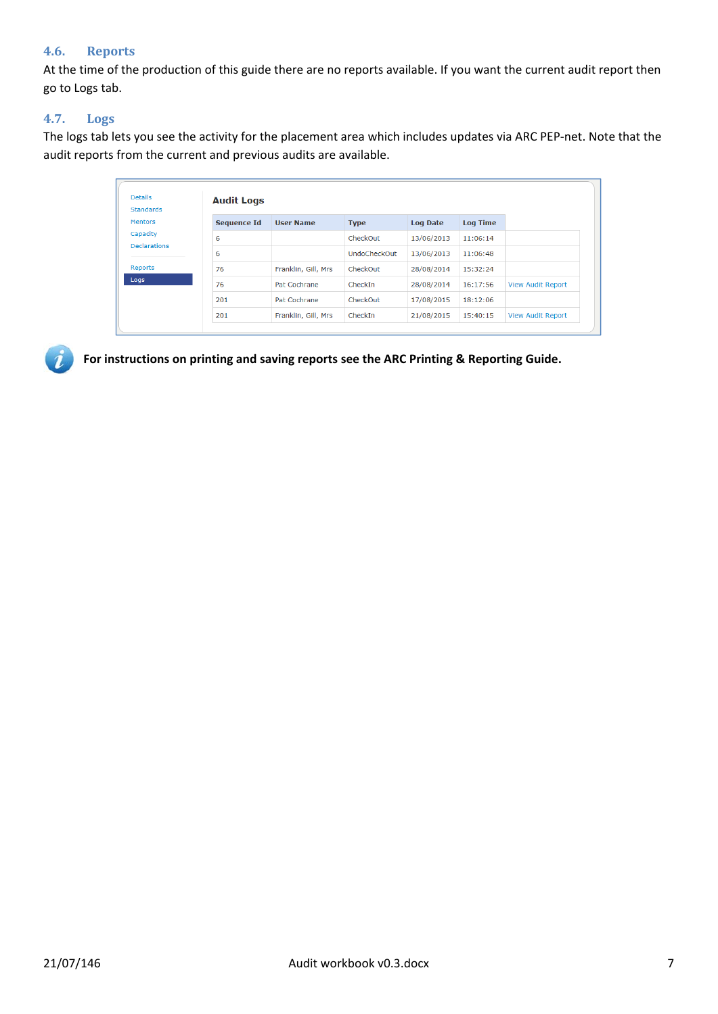### **4.6. Reports**

At the time of the production of this guide there are no reports available. If you want the current audit report then go to Logs tab.

### **4.7. Logs**

The logs tab lets you see the activity for the placement area which includes updates via ARC PEP‐net. Note that the audit reports from the current and previous audits are available.

| <b>Details</b><br><b>Standards</b> | <b>Audit Logs</b>  |                     |                     |                 |                 |                          |
|------------------------------------|--------------------|---------------------|---------------------|-----------------|-----------------|--------------------------|
| <b>Mentors</b>                     | <b>Sequence Id</b> | <b>User Name</b>    | <b>Type</b>         | <b>Log Date</b> | <b>Log Time</b> |                          |
| Capacity<br><b>Declarations</b>    | 6                  |                     | CheckOut            | 13/06/2013      | 11:06:14        |                          |
|                                    | 6                  |                     | <b>UndoCheckOut</b> | 13/06/2013      | 11:06:48        |                          |
| <b>Reports</b>                     | 76                 | Franklin, Gill, Mrs | CheckOut            | 28/08/2014      | 15:32:24        |                          |
| Logs                               | 76                 | Pat Cochrane        | CheckIn             | 28/08/2014      | 16:17:56        | <b>View Audit Report</b> |
|                                    | 201                | Pat Cochrane        | CheckOut            | 17/08/2015      | 18:12:06        |                          |
|                                    | 201                | Franklin, Gill, Mrs | CheckIn             | 21/08/2015      | 15:40:15        | <b>View Audit Report</b> |



**For instructions on printing and saving reports see the ARC Printing & Reporting Guide.**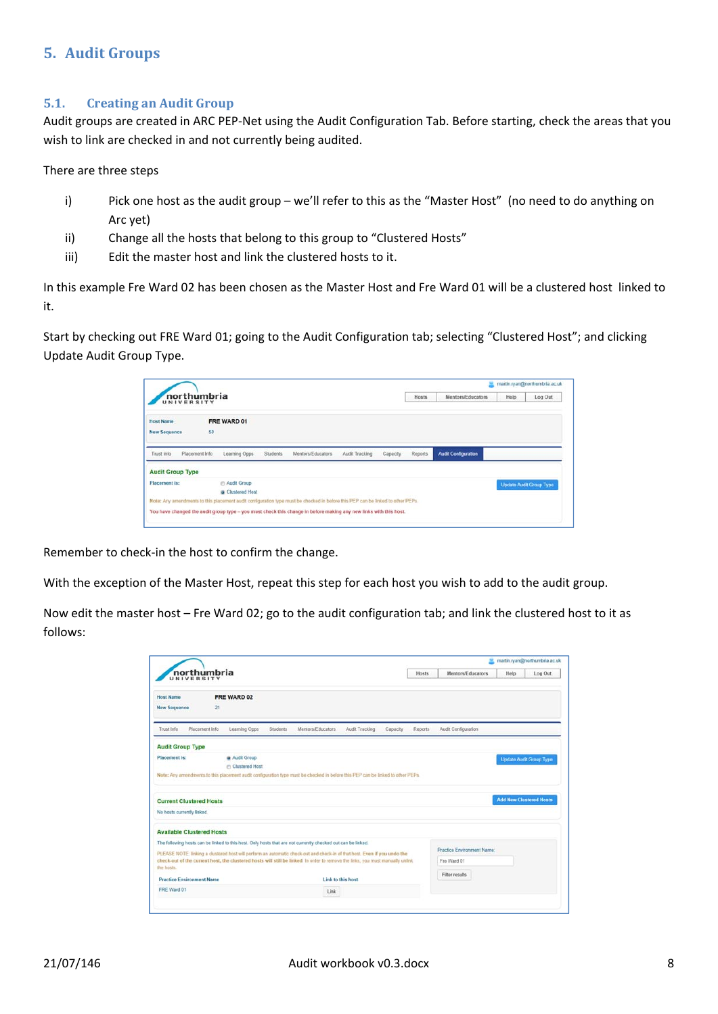# **5. Audit Groups**

#### **5.1. Creating an Audit Group**

Audit groups are created in ARC PEP‐Net using the Audit Configuration Tab. Before starting, check the areas that you wish to link are checked in and not currently being audited.

There are three steps

- i) Pick one host as the audit group we'll refer to this as the "Master Host" (no need to do anything on Arc yet)
- ii) Change all the hosts that belong to this group to "Clustered Hosts"
- iii) Edit the master host and link the clustered hosts to it.

In this example Fre Ward 02 has been chosen as the Master Host and Fre Ward 01 will be a clustered host linked to it.

Start by checking out FRE Ward 01; going to the Audit Configuration tab; selecting "Clustered Host"; and clicking Update Audit Group Type.

| UNIVERSITY                   | northumbria                                                                                                                     |                   |                |          | Hosts   | Mentors/Educators          | Help | Log Out                        |
|------------------------------|---------------------------------------------------------------------------------------------------------------------------------|-------------------|----------------|----------|---------|----------------------------|------|--------------------------------|
| <b>Host Name</b>             | FRE WARD 01                                                                                                                     |                   |                |          |         |                            |      |                                |
| <b>New Sequence</b>          | 50                                                                                                                              |                   |                |          |         |                            |      |                                |
| Placement Info<br>Trust Info | Learning Opps<br>Students                                                                                                       | Mentors/Educators | Audit Tracking | Capacity | Reports | <b>Audit Configuration</b> |      |                                |
| <b>Audit Group Type</b>      |                                                                                                                                 |                   |                |          |         |                            |      |                                |
| Placement is:                | Audit Group                                                                                                                     |                   |                |          |         |                            |      | <b>Update Audit Group Type</b> |
|                              | Clustered Host                                                                                                                  |                   |                |          |         |                            |      |                                |
|                              | Note: Any amendments to this placement audit configuration type must be checked in before this PEP can be linked to other PEPs. |                   |                |          |         |                            |      |                                |
|                              |                                                                                                                                 |                   |                |          |         |                            |      |                                |

Remember to check‐in the host to confirm the change.

With the exception of the Master Host, repeat this step for each host you wish to add to the audit group.

Now edit the master host – Fre Ward 02; go to the audit configuration tab; and link the clustered host to it as follows:

| northumbria<br>UNIVERSITY                                                                                                                                                                                                                                                                                                                                                                                        |                                        |          |                   |                |          | <b>Hosts</b>   | Mentors/Educators                         | Help                           | Log Out                        |
|------------------------------------------------------------------------------------------------------------------------------------------------------------------------------------------------------------------------------------------------------------------------------------------------------------------------------------------------------------------------------------------------------------------|----------------------------------------|----------|-------------------|----------------|----------|----------------|-------------------------------------------|--------------------------------|--------------------------------|
| <b>Host Name</b><br><b>New Sequence</b><br>21                                                                                                                                                                                                                                                                                                                                                                    | FRE WARD 02                            |          |                   |                |          |                |                                           |                                |                                |
| Placement Info<br>Trust Info                                                                                                                                                                                                                                                                                                                                                                                     | Learning Opps                          | Students | Mentors/Educators | Audit Tracking | Capacity | <b>Reports</b> | Audit Configuration                       |                                |                                |
| <b>Audit Group Type</b>                                                                                                                                                                                                                                                                                                                                                                                          |                                        |          |                   |                |          |                |                                           |                                |                                |
| Placement is:                                                                                                                                                                                                                                                                                                                                                                                                    | <b>a</b> Audit Group<br>Clustered Host |          |                   |                |          |                |                                           |                                | <b>Update Audit Group Type</b> |
|                                                                                                                                                                                                                                                                                                                                                                                                                  |                                        |          |                   |                |          |                |                                           |                                |                                |
| Note: Any amendments to this placement audit configuration type must be checked in before this PEP can be linked to other PEPs.                                                                                                                                                                                                                                                                                  |                                        |          |                   |                |          |                |                                           |                                |                                |
| <b>Current Clustered Hosts</b>                                                                                                                                                                                                                                                                                                                                                                                   |                                        |          |                   |                |          |                |                                           | <b>Add New Clustered Hosts</b> |                                |
| No hosts currently linked.                                                                                                                                                                                                                                                                                                                                                                                       |                                        |          |                   |                |          |                |                                           |                                |                                |
|                                                                                                                                                                                                                                                                                                                                                                                                                  |                                        |          |                   |                |          |                |                                           |                                |                                |
|                                                                                                                                                                                                                                                                                                                                                                                                                  |                                        |          |                   |                |          |                |                                           |                                |                                |
| <b>Available Clustered Hosts</b><br>The following hosts can be linked to this host. Only hosts that are not currently checked out can be linked.<br>PLEASE NOTE: linking a clustered host will perform an automatic check-out and check-in of that host. Even if you undo the<br>check-out of the current host, the clustered hosts will still be linked. In order to remove the links, you must manually unlink |                                        |          |                   |                |          |                | Practice Environment Name:<br>Fre Ward 01 |                                |                                |
| the hosts.                                                                                                                                                                                                                                                                                                                                                                                                       |                                        |          |                   |                |          |                |                                           |                                |                                |
| <b>Practice Environment Name</b>                                                                                                                                                                                                                                                                                                                                                                                 |                                        |          | Link to this host |                |          |                | Filter results                            |                                |                                |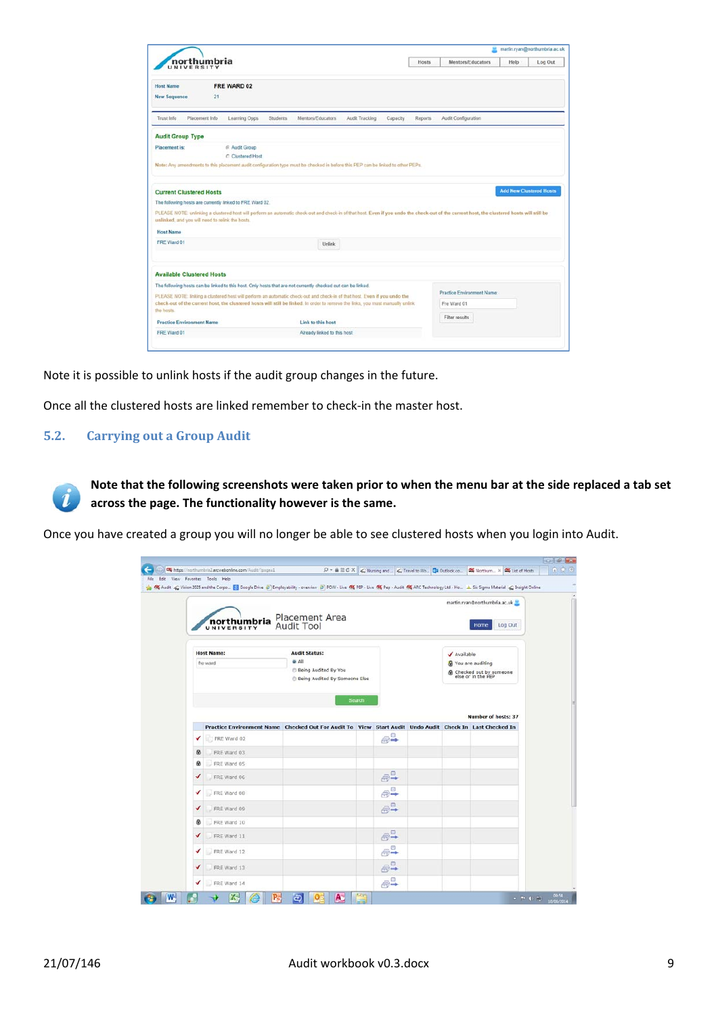| northumbria<br>UNIVERSITY                                                                                                                                                                                                                                                                                                                                                                                                                                          |                      |                 |                   |                |          |                |                            | Mentors/Educators |  | Log Out                        |
|--------------------------------------------------------------------------------------------------------------------------------------------------------------------------------------------------------------------------------------------------------------------------------------------------------------------------------------------------------------------------------------------------------------------------------------------------------------------|----------------------|-----------------|-------------------|----------------|----------|----------------|----------------------------|-------------------|--|--------------------------------|
| <b>Host Name</b>                                                                                                                                                                                                                                                                                                                                                                                                                                                   | FRE WARD 02          |                 |                   |                |          |                |                            |                   |  |                                |
| <b>New Sequence</b>                                                                                                                                                                                                                                                                                                                                                                                                                                                | 21                   |                 |                   |                |          |                |                            |                   |  |                                |
| Trust Info<br>Placement Info                                                                                                                                                                                                                                                                                                                                                                                                                                       | Learning Opps        | <b>Students</b> | Mentors/Educators | Audit Tracking | Capacity | <b>Reports</b> | Audit Configuration        |                   |  |                                |
| <b>Audit Group Type</b>                                                                                                                                                                                                                                                                                                                                                                                                                                            |                      |                 |                   |                |          |                |                            |                   |  |                                |
| <b>Placement</b> is:                                                                                                                                                                                                                                                                                                                                                                                                                                               | <b>E</b> Audit Group |                 |                   |                |          |                |                            |                   |  |                                |
|                                                                                                                                                                                                                                                                                                                                                                                                                                                                    | C Clustered Host     |                 |                   |                |          |                |                            |                   |  |                                |
| Note: Any amendments to this placement audit configuration type must be checked in before this PEP can be linked to other PEPs.                                                                                                                                                                                                                                                                                                                                    |                      |                 |                   |                |          |                |                            |                   |  |                                |
|                                                                                                                                                                                                                                                                                                                                                                                                                                                                    |                      |                 |                   |                |          |                |                            |                   |  |                                |
|                                                                                                                                                                                                                                                                                                                                                                                                                                                                    |                      |                 |                   |                |          |                |                            |                   |  |                                |
|                                                                                                                                                                                                                                                                                                                                                                                                                                                                    |                      |                 |                   |                |          |                |                            |                   |  |                                |
|                                                                                                                                                                                                                                                                                                                                                                                                                                                                    |                      |                 |                   |                |          |                |                            |                   |  |                                |
|                                                                                                                                                                                                                                                                                                                                                                                                                                                                    |                      |                 |                   |                |          |                |                            |                   |  |                                |
| <b>Host Name</b>                                                                                                                                                                                                                                                                                                                                                                                                                                                   |                      |                 |                   |                |          |                |                            |                   |  |                                |
| <b>Current Clustered Hosts</b><br>The following hosts are currently linked to FRE Ward 02.<br>PLEASE NOTE: unlinking a clustered host will perform an automatic check-out and check-in of that host. Even if you undo the check-out of the current host, the clustered hosts will still be<br>unlinked, and you will need to relink the hosts.<br>FRE Ward 01                                                                                                      |                      |                 | Unlink            |                |          |                |                            |                   |  | <b>Add New Clustered Hosts</b> |
|                                                                                                                                                                                                                                                                                                                                                                                                                                                                    |                      |                 |                   |                |          |                |                            |                   |  |                                |
|                                                                                                                                                                                                                                                                                                                                                                                                                                                                    |                      |                 |                   |                |          |                |                            |                   |  |                                |
|                                                                                                                                                                                                                                                                                                                                                                                                                                                                    |                      |                 |                   |                |          |                |                            |                   |  |                                |
|                                                                                                                                                                                                                                                                                                                                                                                                                                                                    |                      |                 |                   |                |          |                | Practice Environment Name: |                   |  |                                |
|                                                                                                                                                                                                                                                                                                                                                                                                                                                                    |                      |                 |                   |                |          |                | Fre Ward 01                |                   |  |                                |
| <b>Available Clustered Hosts</b><br>The following hosts can be linked to this host. Only hosts that are not currently checked out can be linked.<br>PLEASE NOTE: linking a clustered host will perform an automatic check-out and check-in of that host. Even if you undo the<br>check-out of the current host, the clustered hosts will still be linked. In order to remove the links, you must manually unlink<br>the hosts.<br><b>Practice Environment Name</b> |                      |                 | Link to this host |                |          |                | Filter results             |                   |  |                                |

Note it is possible to unlink hosts if the audit group changes in the future.

Once all the clustered hosts are linked remember to check‐in the master host.

### **5.2. Carrying out a Group Audit**

 $\mathbf{z}$ 

Note that the following screenshots were taken prior to when the menu bar at the side replaced a tab set **across the page. The functionality however is the same.**

Once you have created a group you will no longer be able to see clustered hosts when you login into Audit.

|                      | <b>northumbria</b>                                                                                                     | Placement Area<br>Audit Tool                                                                  |        |                       |             | martin.ryan@northumbria.ac.uk<br>Log Out<br>Home                  |  |
|----------------------|------------------------------------------------------------------------------------------------------------------------|-----------------------------------------------------------------------------------------------|--------|-----------------------|-------------|-------------------------------------------------------------------|--|
|                      | <b>Host Name:</b><br>fre ward                                                                                          | <b>Audit Status:</b><br><b>G All</b><br>Being Audited By You<br>Being Audited By Someone Else |        |                       | ✔ Available | & You are auditing<br>hecked out by someone<br>else or in the PEP |  |
|                      |                                                                                                                        |                                                                                               | Search |                       |             | <b>Number of hosts: 37</b>                                        |  |
| ✔                    | Practice Environment Name Checked Out For Audit To View Start Audit Undo Audit Check In Last Checked In<br>FRE Ward 02 |                                                                                               |        | $\bigoplus^{\square}$ |             |                                                                   |  |
| ø                    | FRE Ward 03                                                                                                            |                                                                                               |        |                       |             |                                                                   |  |
| ⊛                    | FRE Ward 05                                                                                                            |                                                                                               |        |                       |             |                                                                   |  |
| $\blacktriangledown$ | FRE Ward 06                                                                                                            |                                                                                               |        | $\oplus^{\mathbb{Z}}$ |             |                                                                   |  |
| ✔                    | FRE Ward 08                                                                                                            |                                                                                               |        | $\oplus^{\boxplus}$   |             |                                                                   |  |
| ✔                    | FRE Ward 09                                                                                                            |                                                                                               |        | $\bigoplus_{i=1}^n$   |             |                                                                   |  |
| ⊛                    | FRE Ward 10                                                                                                            |                                                                                               |        |                       |             |                                                                   |  |
| ✔                    | FRE Ward 11                                                                                                            |                                                                                               |        | $\oplus$              |             |                                                                   |  |
|                      |                                                                                                                        |                                                                                               |        |                       |             |                                                                   |  |
| ✔                    | FRE Ward 12                                                                                                            |                                                                                               |        | $e^e$                 |             |                                                                   |  |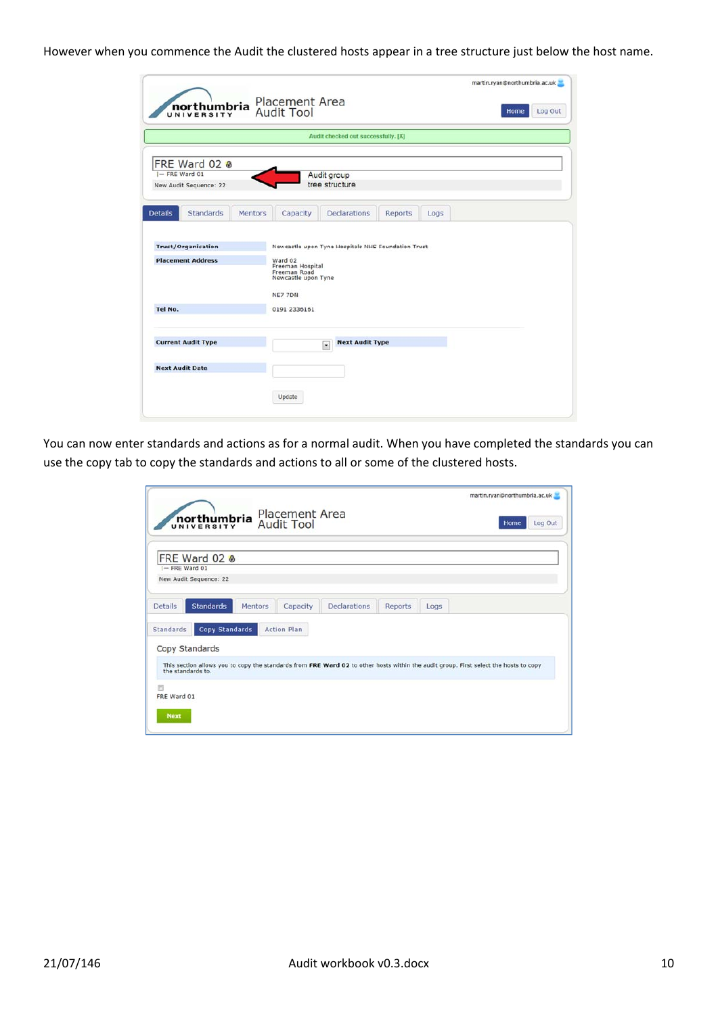However when you commence the Audit the clustered hosts appear in a tree structure just below the host name.

|                                     |                  |                | <b>Placement Area</b>                                                                         |                                                    |                |      | martin.ryan@northumbria.ac.uk |  |
|-------------------------------------|------------------|----------------|-----------------------------------------------------------------------------------------------|----------------------------------------------------|----------------|------|-------------------------------|--|
| <b>northumbria</b>                  | Home             | Log Out        |                                                                                               |                                                    |                |      |                               |  |
|                                     |                  |                |                                                                                               | Audit checked out successfully. [X]                |                |      |                               |  |
| FRE Ward 02 &                       |                  |                |                                                                                               |                                                    |                |      |                               |  |
| I-FRE Ward 01                       |                  |                |                                                                                               | Audit group                                        |                |      |                               |  |
| New Audit Sequence: 22              |                  |                |                                                                                               | tree structure                                     |                |      |                               |  |
|                                     |                  |                |                                                                                               |                                                    |                |      |                               |  |
| <b>Details</b>                      | <b>Standards</b> | <b>Mentors</b> | Capacity                                                                                      | <b>Declarations</b>                                | <b>Reports</b> | Logs |                               |  |
| <b>Placement Address</b><br>Tel No. |                  |                | Ward 02<br>Freeman Hospital<br>Freeman Road<br>Newcastle upon Tyne<br>NE7 7DN<br>0191 2336161 |                                                    |                |      |                               |  |
| <b>Current Audit Type</b>           |                  |                |                                                                                               | <b>Next Audit Type</b><br>$\overline{\phantom{a}}$ |                |      |                               |  |
| <b>Next Audit Date</b>              |                  |                |                                                                                               |                                                    |                |      |                               |  |
|                                     |                  |                | Update                                                                                        |                                                    |                |      |                               |  |

You can now enter standards and actions as for a normal audit. When you have completed the standards you can use the copy tab to copy the standards and actions to all or some of the clustered hosts.

|                                                                                                                                                           | martin.ryan@northumbria.ac.uk |
|-----------------------------------------------------------------------------------------------------------------------------------------------------------|-------------------------------|
| <b>Placement Area</b><br>northumbria<br><b>Audit Tool</b><br>UNIVERSITY                                                                                   | Log Out<br>Home               |
| FRE Ward 02 &                                                                                                                                             |                               |
| $I-$ FRE Ward 01<br>New Audit Sequence: 22                                                                                                                |                               |
|                                                                                                                                                           |                               |
| <b>Standards</b><br><b>Declarations</b><br><b>Details</b><br>Mentors<br>Capacity<br>Reports                                                               | Logs                          |
| <b>Copy Standards</b><br><b>Action Plan</b><br><b>Standards</b>                                                                                           |                               |
|                                                                                                                                                           |                               |
| Copy Standards                                                                                                                                            |                               |
| This section allows you to copy the standards from FRE Ward 02 to other hosts within the audit group. First select the hosts to copy<br>the standards to. |                               |
| 同                                                                                                                                                         |                               |
| FRE Ward 01                                                                                                                                               |                               |
| <b>Next</b>                                                                                                                                               |                               |
|                                                                                                                                                           |                               |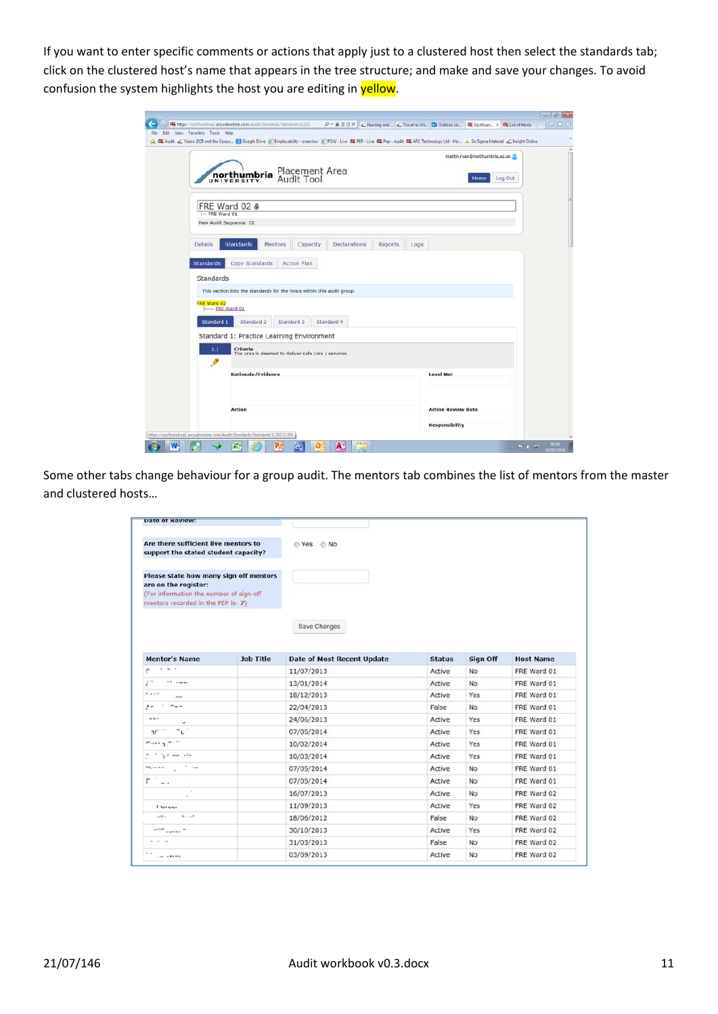If you want to enter specific comments or actions that apply just to a clustered host then select the standards tab; click on the clustered host's name that appears in the tree structure; and make and save your changes. To avoid confusion the system highlights the host you are editing in yellow.

|                                                                                  | martin.ryan@northumbria.ac.uk |
|----------------------------------------------------------------------------------|-------------------------------|
|                                                                                  |                               |
| Placement Area<br>Audit Tool<br>northumbria<br>UNIVERSITY                        | Log Out<br>Home               |
|                                                                                  |                               |
| FRE Ward 02 &<br>- FRE Ward 01                                                   |                               |
| New Audit Sequence: 22                                                           |                               |
|                                                                                  |                               |
| <b>Standards</b><br><b>Details</b><br><b>Mentors</b><br>Capacity<br>Declarations | <b>Reports</b><br>Logs        |
| <b>Action Plan</b><br><b>Standards</b><br>Copy Standards                         |                               |
| Standards                                                                        |                               |
| This section lists the standards for the hosts within this audit group.          |                               |
| FRE Ward 02<br>$I$ -- ERE Ward 01                                                |                               |
| Standard 2<br>Standard 3<br>Standard 4<br>Standard 1                             |                               |
|                                                                                  |                               |
|                                                                                  |                               |
| Standard 1: Practice Learning Environment                                        |                               |
| 1.1<br>Criteria<br>The area is deemed to deliver safe care / services.           |                               |
| $\mathcal{P}$<br>Rationale/Evidence                                              | <b>Level Met</b>              |
|                                                                                  |                               |
|                                                                                  |                               |

Some other tabs change behaviour for a group audit. The mentors tab combines the list of mentors from the master and clustered hosts…

| <b>Date of Review:</b>                                                                                                                          |                  |                                   |               |                 |                  |
|-------------------------------------------------------------------------------------------------------------------------------------------------|------------------|-----------------------------------|---------------|-----------------|------------------|
| Are there sufficient live mentors to<br>support the stated student capacity?                                                                    |                  | © Yes © No                        |               |                 |                  |
| Please state how many sign off mentors<br>are on the register:<br>(For information the number of sign-off<br>mentors recorded in the PEP is: 7) |                  |                                   |               |                 |                  |
|                                                                                                                                                 |                  | Save Changes                      |               |                 |                  |
| <b>Mentor's Name</b>                                                                                                                            | <b>Job Title</b> | <b>Date of Most Recent Update</b> | <b>Status</b> | <b>Sign Off</b> | <b>Host Name</b> |
| $\frac{1}{2}$<br>r                                                                                                                              |                  | 11/07/2013                        | Active        | No              | FRE Ward 01      |
| r*<br>$18 - n$ mme                                                                                                                              |                  | 13/01/2014                        | Active        | <b>No</b>       | FRE Ward 01      |
| $1 + 1$<br>1.58                                                                                                                                 |                  | 18/12/2013                        | Active        | Yes             | FRE Ward 01      |
| $  -$<br>$\sim$                                                                                                                                 |                  | 22/04/2013                        | False         | <b>No</b>       | FRE Ward 01      |
| $n - 1$<br>٠                                                                                                                                    |                  | 24/06/2013                        | Active        | Yes             | FRE Ward 01      |
| $\mathfrak{m}^{\mathbb{Z}^{\times \mathbb{Z}^{\times \mathbb{Z}^{\times \mathbb{Z}}}}$<br>L                                                     |                  | 07/05/2014                        | Active        | Yes             | FRE Ward 01      |
| $r1 - 1$                                                                                                                                        |                  | 10/02/2014                        | Active        | Yes             | FRE Ward 01      |
| $+$ $+$ $+$ $+$ $+$ $+$ $+$                                                                                                                     |                  | 10/03/2014                        | Active        | Yes             | FRE Ward 01      |
| $\mathbf{M}_{\mathbf{q}}$ consistent in the $\mathbf{M}_{\mathbf{q}}$                                                                           |                  | 07/05/2014                        | Active        | <b>No</b>       | FRE Ward 01      |
| $\Gamma$                                                                                                                                        |                  | 07/05/2014                        | Active        | <b>No</b>       | FRE Ward 01      |
| 11.6<br>$\sim$                                                                                                                                  |                  | 16/07/2013                        | Active        | <b>No</b>       | FRE Ward 02      |
| $1$ Uruu                                                                                                                                        |                  | 11/09/2013                        | Active        | Yes             | FRE Ward 02      |
| $1.1 - 1.1$<br>$+11.$                                                                                                                           |                  | 18/06/2012                        | False         | <b>No</b>       | FRE Ward 02      |
| and come "                                                                                                                                      |                  | 30/10/2013                        | Active        | Yes             | FRE Ward 02      |
|                                                                                                                                                 |                  | 31/03/2013                        | False         | <b>No</b>       | FRE Ward 02      |
| with an                                                                                                                                         |                  |                                   |               |                 |                  |